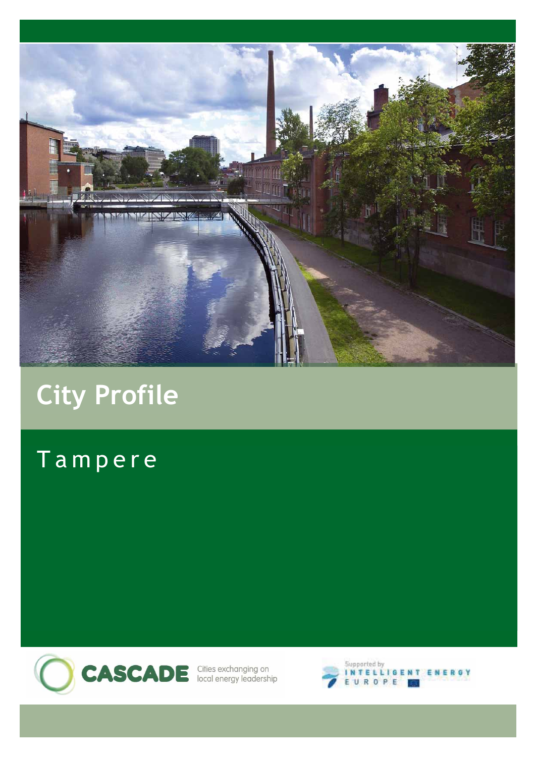

# **City Profile**

# Tampere

**CASCADE** Cities exchanging on

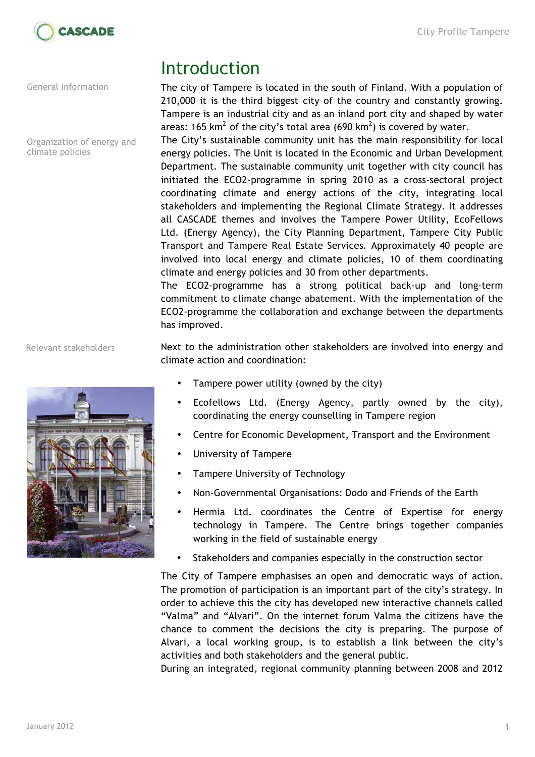

General information

Organization of energy and climate policies

Relevant stakeholders



# Introduction

The city of Tampere is located in the south of Finland. With a population of 210,000 it is the third biggest city of the country and constantly growing. Tampere is an industrial city and as an inland port city and shaped by water areas: 165 km $^2$  of the city's total area (690 km $^2$ ) is covered by water.

The City's sustainable community unit has the main responsibility for local energy policies. The Unit is located in the Economic and Urban Development Department. The sustainable community unit together with city council has initiated the ECO2-programme in spring 2010 as a cross-sectoral project coordinating climate and energy actions of the city, integrating local stakeholders and implementing the Regional Climate Strategy. It addresses all CASCADE themes and involves the Tampere Power Utility, EcoFellows Ltd. (Energy Agency), the City Planning Department, Tampere City Public Transport and Tampere Real Estate Services. Approximately 40 people are involved into local energy and climate policies, 10 of them coordinating climate and energy policies and 30 from other departments.

The ECO2-programme has a strong political back-up and long-term commitment to climate change abatement. With the implementation of the ECO2-programme the collaboration and exchange between the departments has improved.

Next to the administration other stakeholders are involved into energy and climate action and coordination:

- Tampere power utility (owned by the city)
- Ecofellows Ltd. (Energy Agency, partly owned by the city), coordinating the energy counselling in Tampere region
- Centre for Economic Development, Transport and the Environment
- University of Tampere
- Tampere University of Technology
- Non-Governmental Organisations: Dodo and Friends of the Earth
- Hermia Ltd. coordinates the Centre of Expertise for energy technology in Tampere. The Centre brings together companies working in the field of sustainable energy
- Stakeholders and companies especially in the construction sector

The City of Tampere emphasises an open and democratic ways of action. The promotion of participation is an important part of the city's strategy. In order to achieve this the city has developed new interactive channels called "Valma" and "Alvari". On the internet forum Valma the citizens have the chance to comment the decisions the city is preparing. The purpose of Alvari, a local working group, is to establish a link between the city's activities and both stakeholders and the general public.

During an integrated, regional community planning between 2008 and 2012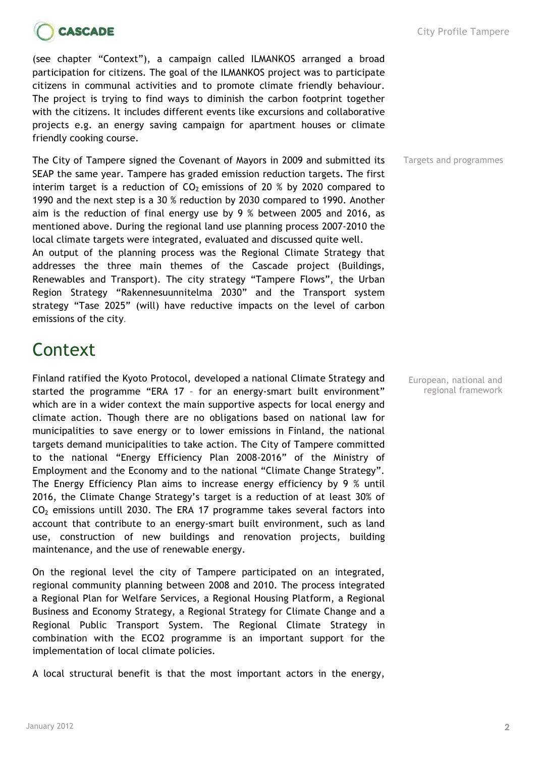



(see chapter "Context"), a campaign called ILMANKOS arranged a broad participation for citizens. The goal of the ILMANKOS project was to participate citizens in communal activities and to promote climate friendly behaviour. The project is trying to find ways to diminish the carbon footprint together with the citizens. It includes different events like excursions and collaborative projects e.g. an energy saving campaign for apartment houses or climate friendly cooking course.

The City of Tampere signed the Covenant of Mayors in 2009 and submitted its SEAP the same year. Tampere has graded emission reduction targets. The first interim target is a reduction of  $CO<sub>2</sub>$  emissions of 20 % by 2020 compared to 1990 and the next step is a 30 % reduction by 2030 compared to 1990. Another aim is the reduction of final energy use by 9 % between 2005 and 2016, as mentioned above. During the regional land use planning process 2007-2010 the local climate targets were integrated, evaluated and discussed quite well. An output of the planning process was the Regional Climate Strategy that

addresses the three main themes of the Cascade project (Buildings, Renewables and Transport). The city strategy "Tampere Flows", the Urban Region Strategy "Rakennesuunnitelma 2030" and the Transport system strategy "Tase 2025" (will) have reductive impacts on the level of carbon emissions of the city.

# **Context**

Finland ratified the Kyoto Protocol, developed a national Climate Strategy and started the programme "ERA 17 – for an energy-smart built environment" which are in a wider context the main supportive aspects for local energy and climate action. Though there are no obligations based on national law for municipalities to save energy or to lower emissions in Finland, the national targets demand municipalities to take action. The City of Tampere committed to the national "Energy Efficiency Plan 2008-2016" of the Ministry of Employment and the Economy and to the national "Climate Change Strategy". The Energy Efficiency Plan aims to increase energy efficiency by 9 % until 2016, the Climate Change Strategy's target is a reduction of at least 30% of  $CO<sub>2</sub>$  emissions untill 2030. The ERA 17 programme takes several factors into account that contribute to an energy-smart built environment, such as land use, construction of new buildings and renovation projects, building maintenance, and the use of renewable energy.

On the regional level the city of Tampere participated on an integrated, regional community planning between 2008 and 2010. The process integrated a Regional Plan for Welfare Services, a Regional Housing Platform, a Regional Business and Economy Strategy, a Regional Strategy for Climate Change and a Regional Public Transport System. The Regional Climate Strategy in combination with the ECO2 programme is an important support for the implementation of local climate policies.

A local structural benefit is that the most important actors in the energy,

Targets and programmes

European, national and regional framework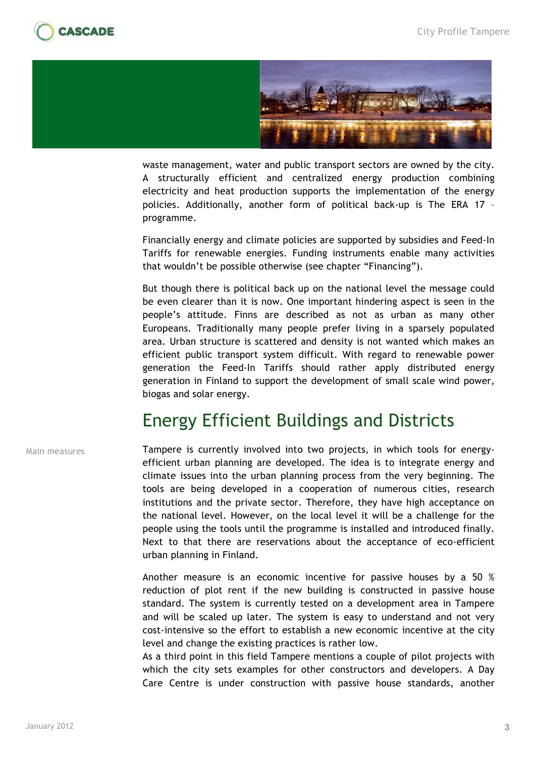



waste management, water and public transport sectors are owned by the city. A structurally efficient and centralized energy production combining electricity and heat production supports the implementation of the energy policies. Additionally, another form of political back-up is The ERA 17 – programme.

Financially energy and climate policies are supported by subsidies and Feed-In Tariffs for renewable energies. Funding instruments enable many activities that wouldn't be possible otherwise (see chapter "Financing").

But though there is political back up on the national level the message could be even clearer than it is now. One important hindering aspect is seen in the people's attitude. Finns are described as not as urban as many other Europeans. Traditionally many people prefer living in a sparsely populated area. Urban structure is scattered and density is not wanted which makes an efficient public transport system difficult. With regard to renewable power generation the Feed-In Tariffs should rather apply distributed energy generation in Finland to support the development of small scale wind power, biogas and solar energy.

#### Energy Efficient Buildings and Districts

Main measures

Tampere is currently involved into two projects, in which tools for energyefficient urban planning are developed. The idea is to integrate energy and climate issues into the urban planning process from the very beginning. The tools are being developed in a cooperation of numerous cities, research institutions and the private sector. Therefore, they have high acceptance on the national level. However, on the local level it will be a challenge for the people using the tools until the programme is installed and introduced finally. Next to that there are reservations about the acceptance of eco-efficient urban planning in Finland.

Another measure is an economic incentive for passive houses by a 50 % reduction of plot rent if the new building is constructed in passive house standard. The system is currently tested on a development area in Tampere and will be scaled up later. The system is easy to understand and not very cost-intensive so the effort to establish a new economic incentive at the city level and change the existing practices is rather low.

As a third point in this field Tampere mentions a couple of pilot projects with which the city sets examples for other constructors and developers. A Day Care Centre is under construction with passive house standards, another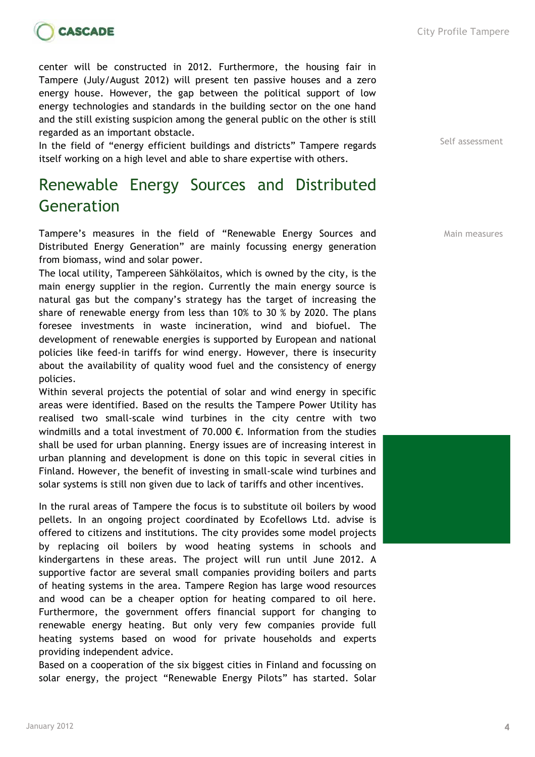

center will be constructed in 2012. Furthermore, the housing fair in Tampere (July/August 2012) will present ten passive houses and a zero energy house. However, the gap between the political support of low energy technologies and standards in the building sector on the one hand and the still existing suspicion among the general public on the other is still regarded as an important obstacle.

In the field of "energy efficient buildings and districts" Tampere regards itself working on a high level and able to share expertise with others.

#### Renewable Energy Sources and Distributed Generation

Tampere's measures in the field of "Renewable Energy Sources and Distributed Energy Generation" are mainly focussing energy generation from biomass, wind and solar power.

The local utility, Tampereen Sähkölaitos, which is owned by the city, is the main energy supplier in the region. Currently the main energy source is natural gas but the company's strategy has the target of increasing the share of renewable energy from less than 10% to 30 % by 2020. The plans foresee investments in waste incineration, wind and biofuel. The development of renewable energies is supported by European and national policies like feed-in tariffs for wind energy. However, there is insecurity about the availability of quality wood fuel and the consistency of energy policies.

Within several projects the potential of solar and wind energy in specific areas were identified. Based on the results the Tampere Power Utility has realised two small-scale wind turbines in the city centre with two windmills and a total investment of 70.000 €. Information from the studies shall be used for urban planning. Energy issues are of increasing interest in urban planning and development is done on this topic in several cities in Finland. However, the benefit of investing in small-scale wind turbines and solar systems is still non given due to lack of tariffs and other incentives.

In the rural areas of Tampere the focus is to substitute oil boilers by wood pellets. In an ongoing project coordinated by Ecofellows Ltd. advise is offered to citizens and institutions. The city provides some model projects by replacing oil boilers by wood heating systems in schools and kindergartens in these areas. The project will run until June 2012. A supportive factor are several small companies providing boilers and parts of heating systems in the area. Tampere Region has large wood resources and wood can be a cheaper option for heating compared to oil here. Furthermore, the government offers financial support for changing to renewable energy heating. But only very few companies provide full heating systems based on wood for private households and experts providing independent advice.

Based on a cooperation of the six biggest cities in Finland and focussing on solar energy, the project "Renewable Energy Pilots" has started. Solar City Profile Tampere

Self assessment

Main measures

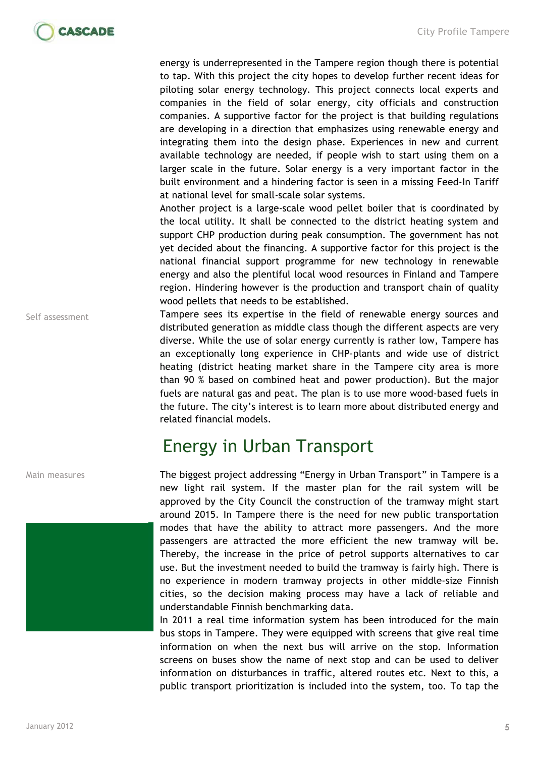

energy is underrepresented in the Tampere region though there is potential to tap. With this project the city hopes to develop further recent ideas for piloting solar energy technology. This project connects local experts and companies in the field of solar energy, city officials and construction companies. A supportive factor for the project is that building regulations are developing in a direction that emphasizes using renewable energy and integrating them into the design phase. Experiences in new and current available technology are needed, if people wish to start using them on a larger scale in the future. Solar energy is a very important factor in the built environment and a hindering factor is seen in a missing Feed-In Tariff at national level for small-scale solar systems.

Another project is a large-scale wood pellet boiler that is coordinated by the local utility. It shall be connected to the district heating system and support CHP production during peak consumption. The government has not yet decided about the financing. A supportive factor for this project is the national financial support programme for new technology in renewable energy and also the plentiful local wood resources in Finland and Tampere region. Hindering however is the production and transport chain of quality wood pellets that needs to be established.

Tampere sees its expertise in the field of renewable energy sources and distributed generation as middle class though the different aspects are very diverse. While the use of solar energy currently is rather low, Tampere has an exceptionally long experience in CHP-plants and wide use of district heating (district heating market share in the Tampere city area is more than 90 % based on combined heat and power production). But the major fuels are natural gas and peat. The plan is to use more wood-based fuels in the future. The city's interest is to learn more about distributed energy and related financial models.

# Energy in Urban Transport

The biggest project addressing "Energy in Urban Transport" in Tampere is a new light rail system. If the master plan for the rail system will be approved by the City Council the construction of the tramway might start around 2015. In Tampere there is the need for new public transportation modes that have the ability to attract more passengers. And the more passengers are attracted the more efficient the new tramway will be. Thereby, the increase in the price of petrol supports alternatives to car use. But the investment needed to build the tramway is fairly high. There is no experience in modern tramway projects in other middle-size Finnish cities, so the decision making process may have a lack of reliable and understandable Finnish benchmarking data.

In 2011 a real time information system has been introduced for the main bus stops in Tampere. They were equipped with screens that give real time information on when the next bus will arrive on the stop. Information screens on buses show the name of next stop and can be used to deliver information on disturbances in traffic, altered routes etc. Next to this, a public transport prioritization is included into the system, too. To tap the

Self assessment

Main measures

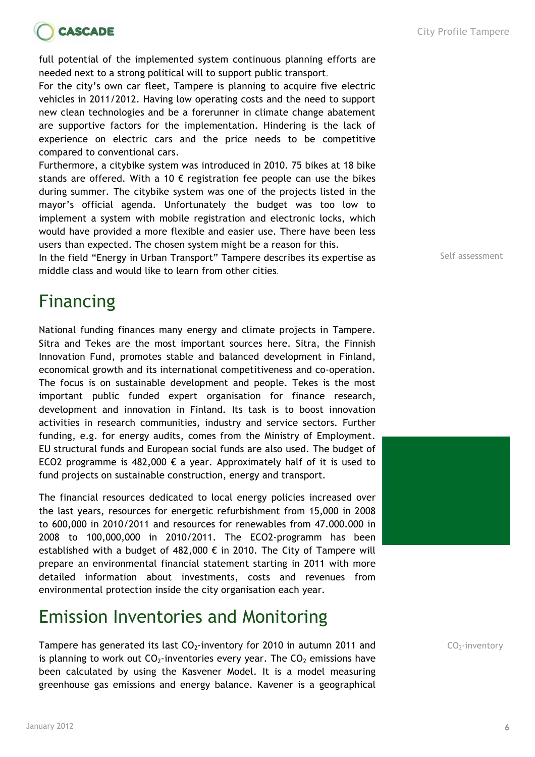

full potential of the implemented system continuous planning efforts are needed next to a strong political will to support public transport.

For the city's own car fleet, Tampere is planning to acquire five electric vehicles in 2011/2012. Having low operating costs and the need to support new clean technologies and be a forerunner in climate change abatement are supportive factors for the implementation. Hindering is the lack of experience on electric cars and the price needs to be competitive compared to conventional cars.

Furthermore, a citybike system was introduced in 2010. 75 bikes at 18 bike stands are offered. With a 10  $\epsilon$  registration fee people can use the bikes during summer. The citybike system was one of the projects listed in the mayor's official agenda. Unfortunately the budget was too low to implement a system with mobile registration and electronic locks, which would have provided a more flexible and easier use. There have been less users than expected. The chosen system might be a reason for this.

In the field "Energy in Urban Transport" Tampere describes its expertise as middle class and would like to learn from other cities.

# Financing

National funding finances many energy and climate projects in Tampere. Sitra and Tekes are the most important sources here. Sitra, the Finnish Innovation Fund, promotes stable and balanced development in Finland, economical growth and its international competitiveness and co-operation. The focus is on sustainable development and people. Tekes is the most important public funded expert organisation for finance research, development and innovation in Finland. Its task is to boost innovation activities in research communities, industry and service sectors. Further funding, e.g. for energy audits, comes from the Ministry of Employment. EU structural funds and European social funds are also used. The budget of ECO2 programme is 482,000  $\epsilon$  a year. Approximately half of it is used to fund projects on sustainable construction, energy and transport.

The financial resources dedicated to local energy policies increased over the last years, resources for energetic refurbishment from 15,000 in 2008 to 600,000 in 2010/2011 and resources for renewables from 47.000.000 in 2008 to 100,000,000 in 2010/2011. The ECO2-programm has been established with a budget of 482,000  $\epsilon$  in 2010. The City of Tampere will prepare an environmental financial statement starting in 2011 with more detailed information about investments, costs and revenues from environmental protection inside the city organisation each year.

# Emission Inventories and Monitoring

Tampere has generated its last  $CO<sub>2</sub>$ -inventory for 2010 in autumn 2011 and is planning to work out  $CO<sub>2</sub>$ -inventories every year. The  $CO<sub>2</sub>$  emissions have been calculated by using the Kasvener Model. It is a model measuring greenhouse gas emissions and energy balance. Kavener is a geographical

Self assessment



 $CO<sub>2</sub>$ -inventory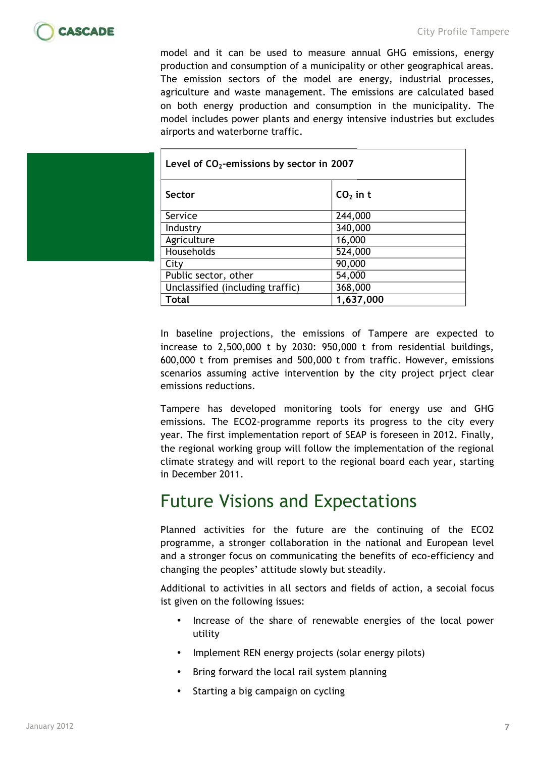

model and it can be used to measure annual GHG emissions, energy production and consumption of a municipality or other geographical areas. The emission sectors of the model are energy, industrial processes, agriculture and waste management. The emissions are calculated based on both energy production and consumption in the municipality. The model includes power plants and energy intensive industries but excludes airports and waterborne traffic.

|  | Level of $CO2$ -emissions by sector in 2007 |            |
|--|---------------------------------------------|------------|
|  | Sector                                      | $CO2$ in t |
|  | Service                                     | 244,000    |
|  | Industry                                    | 340,000    |
|  | Agriculture                                 | 16,000     |
|  | Households                                  | 524,000    |
|  | City                                        | 90,000     |
|  | Public sector, other                        | 54,000     |
|  | Unclassified (including traffic)            | 368,000    |
|  | Total                                       | 1,637,000  |

In baseline projections, the emissions of Tampere are expected to increase to 2,500,000 t by 2030: 950,000 t from residential buildings, 600,000 t from premises and 500,000 t from traffic. However, emissions scenarios assuming active intervention by the city project prject clear emissions reductions.

Tampere has developed monitoring tools for energy use and GHG emissions. The ECO2-programme reports its progress to the city every year. The first implementation report of SEAP is foreseen in 2012. Finally, the regional working group will follow the implementation of the regional climate strategy and will report to the regional board each year, starting in December 2011.

#### Future Visions and Expectations

Planned activities for the future are the continuing of the ECO2 programme, a stronger collaboration in the national and European level and a stronger focus on communicating the benefits of eco-efficiency and changing the peoples' attitude slowly but steadily.

Additional to activities in all sectors and fields of action, a secoial focus ist given on the following issues:

- Increase of the share of renewable energies of the local power utility
- Implement REN energy projects (solar energy pilots)
- Bring forward the local rail system planning
- Starting a big campaign on cycling